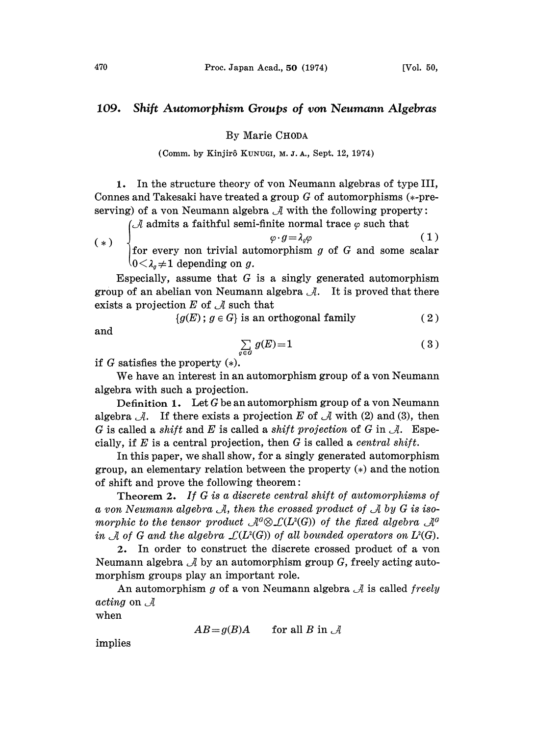## 109. Shift Automorphism Groups of yon Neumann Algebras

## By Marie CHODA

## (Comm. by Kinjirô KUNUGI, M. J. A., Sept. 12, 1974)

1. In the structure theory of von Neumann algebras of type III, Connes and Takesaki have treated a group  $G$  of automorphisms  $(*-pre$ serving) of a von Neumann algebra  $\mathcal A$  with the following property:

(A admits a faithful semi-finite normal trace  $\varphi$  such that

(\*)  $\begin{pmatrix} * & * \end{pmatrix}$  ,  $\varphi \cdot g = \lambda_q \varphi$  (1)  $\int_{0}^{\infty} \frac{\cos \theta}{\cos \theta} dx$  depending on g. | for every non trivial automorphism  $g$  of  $G$  and some scalar

Especially, assume that  $G$  is a singly generated automorphism group of an abelian von Neumann algebra  $\mathcal{A}$ . It is proved that there exists a projection  $E$  of  $\mathcal A$  such that

 ${g(E)$ ;  $g \in G}$  is an orthogonal family (2)

and

$$
\sum_{j \in G} g(E) = 1 \tag{3}
$$

if  $G$  satisfies the property  $(*)$ .

We have an interest in an automorphism group of <sup>a</sup> yon Neumann algebra with such a projection.

Definition 1. Let  $G$  be an automorphism group of a von Neumann algebra  $\mathcal{A}$ . If there exists a projection E of  $\mathcal A$  with (2) and (3), then G is called a shift and E is called a shift projection of G in  $\mathcal{A}$ . Especially, if  $E$  is a central projection, then  $G$  is called a *central shift*.

In this paper, we shall show, for a singly generated automorphism group, an elementary relation between the property  $(*)$  and the notion of shift and prove the following theorem:

Theorem 2. If G is <sup>a</sup> discrete central shift of automorphisms of a von Neumann algebra  $\mathcal A$ , then the crossed product of  $\mathcal A$  by G is isomorphic to the tensor product  $\mathcal{A}^G \otimes \mathcal{L}(L^2(G))$  of the fixed algebra  $\mathcal{A}^G$ in A of G and the algebra  $\mathcal{L}(L^2(G))$  of all bounded operators on  $L^2(G)$ .

2. In order to construct the discrete crossed product of a yon Neumann algebra  $\mathcal A$  by an automorphism group G, freely acting automorphism groups play an important role.

An automorphism g of a von Neumann algebra  $\mathcal A$  is called freely acting on  $\mathcal A$ 

when

$$
AB = g(B)A \qquad \text{for all } B \text{ in } \mathcal{A}
$$

implies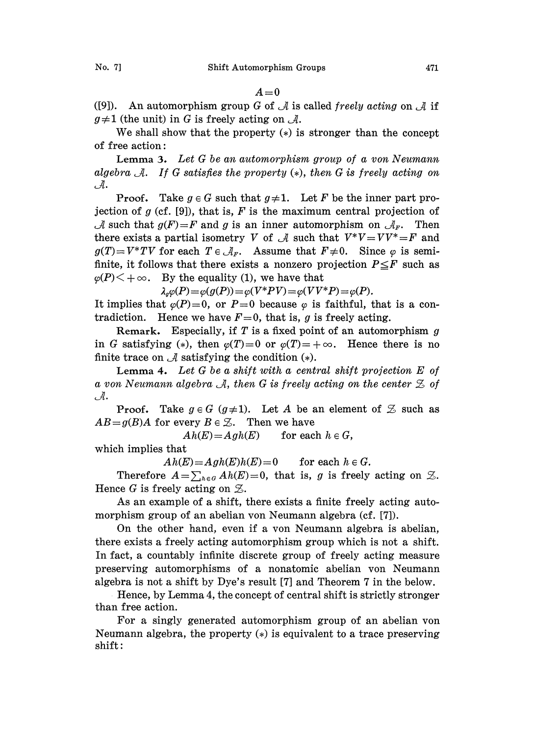$A=0$ 

([9]). An automorphism group G of  $\mathcal A$  is called freely acting on  $\mathcal A$  if  $g\neq1$  (the unit) in G is freely acting on  $\mathcal{A}$ .

We shall show that the property  $(*)$  is stronger than the concept of free action:

Lemma 3. Let G be an automorphism group of a von Neumann algebra  $\mathcal{A}.$  If G satisfies the property (\*), then G is freely acting on  $\mathcal{A}.$ 

**Proof.** Take  $g \in G$  such that  $g \neq 1$ . Let F be the inner part projection of g (cf. [9]), that is, F is the maximum central projection of  $\mathcal A$  such that  $g(F) = F$  and g is an inner automorphism on  $\mathcal A_F$ . Then there exists a partial isometry V of A such that  $V^*V=VV^*=F$  and  $g(T)=V^*TV$  for each  $T \in \mathcal{A}_F$ . Assume that  $F\neq 0$ . Since  $\varphi$  is semifinite, it follows that there exists a nonzero projection  $P \leq F$  such as  $\varphi(P)$   $\lt$  +  $\infty$ . By the equality (1), we have that

 $\lambda_q \varphi(P) = \varphi(g(P)) = \varphi(V^*PV) = \varphi(VV^*P) = \varphi(P).$ 

It implies that  $\varphi(P)=0$ , or  $P=0$  because  $\varphi$  is faithful, that is a contradiction. Hence we have  $F=0$ , that is, g is freely acting.

Remark. Especially, if  $T$  is a fixed point of an automorphism  $g$ in G satisfying (\*), then  $\varphi(T)=0$  or  $\varphi(T)=+\infty$ . Hence there is no finite trace on  $\mathcal A$  satisfying the condition  $(*)$ .

Lemma 4. Let  $G$  be a shift with a central shift projection  $E$  of a von Neumann algebra A, then G is freely acting on the center  $\mathfrak{Z}$  of  $\mathcal{A}.$ 

**Proof.** Take  $g \in G$  ( $g \ne 1$ ). Let A be an element of  $\mathcal{Z}$  such as  $AB = g(B)A$  for every  $B \in \mathcal{Z}$ . Then we have

 $Ah(E) = Agh(E)$  for each  $h \in G$ ,

which implies that

 $Ah(E)=Agh(E)h(E)=0$  for each  $h \in G$ .

Therefore  $A=\sum_{h\in G}Ah(E)=0$ , that is, g is freely acting on  $\mathcal{Z}$ . Hence G is freely acting on  $\mathcal{Z}$ .

As an example of a shift, there exists a finite freely acting automorphism group of an abelian von Neumann algebra (cf. [7]).

On the other hand, even if a von Neumann algebra is abelian, there exists a freely acting automorphism group which is not a shift. In fact, a countably infinite discrete group of freely acting measure preserving automorphisms of a nonatomic abelian von Neumann algebra is not a shift by Dye's result  $[7]$  and Theorem 7 in the below.

Hence, by Lemma 4, the concept of central shift is strictly stronger than free action.

For a singly generated automorphism group of an abelian von Neumann algebra, the property  $(*)$  is equivalent to a trace preserving  $shift:$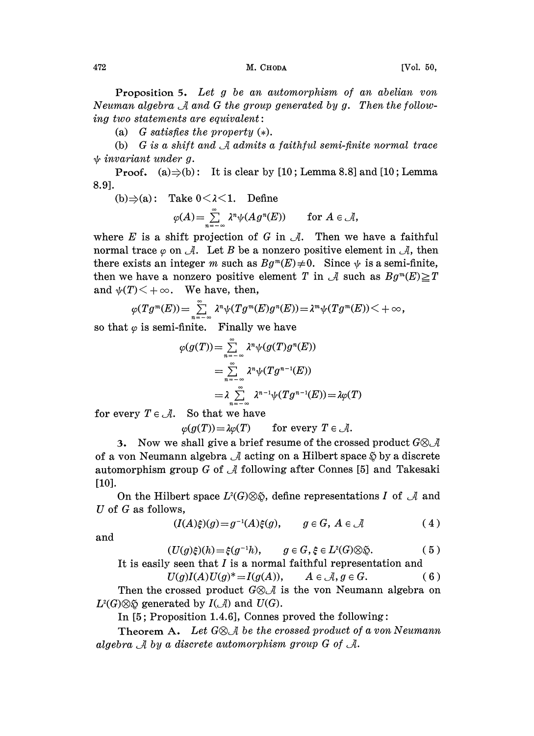Proposition 5. Let g be an automorphism of an abelian yon Neuman algebra  $\mathcal A$  and G the group generated by g. Then the follow $ing\ two\ statements\ are\ equivalent:$ 

(a) G satisfies the property  $(*)$ .

(b)  $G$  is a shift and  $\mathcal A$  admits a faithful semi-finite normal trace  $\psi$  invariant under g.

**Proof.** (a) $\Rightarrow$ (b): It is clear by [10; Lemma 8.8] and [10; Lemma 8.9].

(b) 
$$
\Rightarrow
$$
 (a): Take  $0 < \lambda < 1$ . Define  

$$
\varphi(A) = \sum_{n=-\infty}^{\infty} \lambda^n \psi(Ag^n(E)) \quad \text{for } A \in \mathcal{A},
$$

where  $E$  is a shift projection of  $G$  in  $\mathcal{A}$ . Then we have a faithful normal trace  $\varphi$  on  $\mathcal{A}$ . Let B be a nonzero positive element in  $\mathcal{A}$ , then there exists an integer m such as  $Bg^m(E) \neq 0$ . Since  $\psi$  is a semi-finite, then we have a nonzero positive element T in A such as  $Bg^m(E) \geq T$ and  $\psi(T)$   $\lt$  +  $\infty$ . We have, then,

$$
\varphi(Tg^{m}(E))=\sum_{n=-\infty}^{\infty}\lambda^{n}\psi(Tg^{m}(E)g^{n}(E))=\lambda^{m}\psi(Tg^{m}(E))<+\infty,
$$

so that  $\varphi$  is semi-finite. Finally we have

$$
\varphi(g(T)) = \sum_{n = -\infty}^{\infty} \lambda^n \psi(g(T)g^n(E))
$$
  
= 
$$
\sum_{n = -\infty}^{\infty} \lambda^n \psi(Tg^{n-1}(E))
$$
  
= 
$$
\lambda \sum_{n = -\infty}^{\infty} \lambda^{n-1} \psi(Tg^{n-1}(E)) = \lambda \varphi(T)
$$

for every  $T \in \mathcal{A}$ . So that we have

 $\varphi(g(T)) = \lambda \varphi(T)$  for every  $T \in \mathcal{A}$ .

3. Now we shall give a brief resume of the crossed product  $G \otimes \mathcal{A}$ of a von Neumann algebra  $\mathcal A$  acting on a Hilbert space  $\mathfrak H$  by a discrete automorphism group G of  $\mathcal A$  following after Connes [5] and Takesaki [10].

On the Hilbert space  $L^2(G)\otimes \mathfrak{S}$ , define representations I of  $\mathcal A$  and U of  $G$  as follows,

$$
(I(A)\xi)(g) = g^{-1}(A)\xi(g), \qquad g \in G, \ A \in \mathcal{A} \tag{4}
$$

and

$$
(U(g)\xi)(h) = \xi(g^{-1}h), \qquad g \in G, \xi \in L^{2}(G) \otimes \xi.
$$
 (5)

It is easily seen that *I* is a normal faithful representation and<br> $U(g)I(A)U(g)^* = I(g(A)), \qquad A \in \mathcal{A}, g \in G.$  (6)

Then the crossed product  $G \otimes \mathcal{A}$  is the von Neumann algebra on  $L^2(G)\otimes \mathfrak{S}$  generated by  $I(\mathcal{A})$  and  $U(G)$ .

In  $[5;$  Proposition 1.4.6], Connes proved the following:

Theorem A. Let  $G \otimes A$  be the crossed product of a von Neumann algebra  $\mathcal A$  by a discrete automorphism group G of  $\mathcal A$ .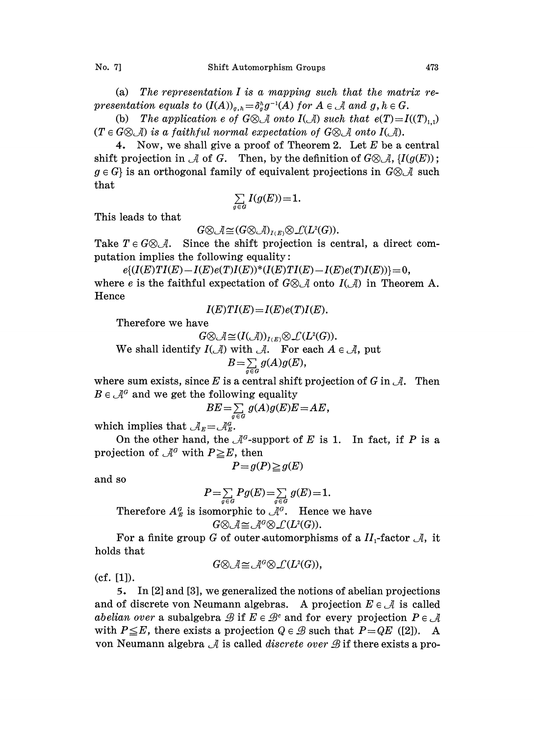(a) The representation  $I$  is a mapping such that the matrix representation equals to  $(I(A))_{g,h} = \delta_q^h g^{-1}(A)$  for  $A \in \mathcal{A}$  and  $g, h \in G$ .

(b) The application e of  $G \otimes \mathcal{A}$  onto  $I(\mathcal{A})$  such that  $e(T) = I((T)_{1,1})$  $(T \in G \otimes \mathcal{A})$  is a faithful normal expectation of  $G \otimes \mathcal{A}$  onto  $I(\mathcal{A})$ .

4. Now, we shall give a proof of Theorem 2. Let  $E$  be a central shift projection in  $\mathcal A$  of G. Then, by the definition of  $G \otimes \mathcal A$ ,  $\{I(g(E))\}$ ;  $g \in G$  is an orthogonal family of equivalent projections in  $G \otimes \mathcal{A}$  such that

$$
\sum_{g\in G}I(g(E))\!=\!1.
$$

This leads to that

 $G \otimes \mathcal{A} \cong (G \otimes \mathcal{A})_{I(E)} \otimes \mathcal{L}(L^2(G)).$ 

 $G \otimes \mathcal{A} \cong (G \otimes \mathcal{A})_{I(E)} \otimes \mathcal{L}(L^2(G)).$ <br>Take  $T \in G \otimes \mathcal{A}$ . Since the shift projection is central, a direct computation implies the following equality:

 $e\{(I(E)TI(E)-I(E)e(T)I(E))^*(I(E)TI(E)-I(E)e(T)I(E))\}=0,$ where e is the faithful expectation of  $G \otimes \mathcal{A}$  onto  $I(\mathcal{A})$  in Theorem A. Hence

$$
I(E)TI(E)=I(E)e(T)I(E).
$$

Therefore we have

 $G \otimes \mathcal{A} \cong (I(\mathcal{A}))_{I(E)} \otimes \mathcal{L}(L^2(G)).$ 

We shall identify  $I(\mathcal{A})$  with  $\mathcal{A}$ . For each  $A \in \mathcal{A}$ , put

$$
B=\sum_{g\in G}g(A)g(E),
$$

where sum exists, since E is a central shift projection of G in  $\mathcal{A}$ . Then  $B \in \mathcal{A}^G$  and we get the following equality

$$
BE = \sum_{g \in G} g(A)g(E)E = AE,
$$

 $BE = \sum_{g \in G}$ <br>which implies that  $A_E = \mathcal{A}_E^G$ .

On the other hand, the  $\mathcal{A}^G$ -support of E is 1. In fact, if P is a projection of  $\mathcal{A}^G$  with  $P \geq E$ , then

$$
P = g(P) \geq g(E)
$$

and so

$$
P = \sum_{g \in G} Pg(E) = \sum_{g \in G} g(E) = 1.
$$
  
Therefore  $A_E^{\alpha}$  is isomorphic to  $\mathcal{A}^{\alpha}$ . Hence we have  

$$
G \otimes \mathcal{A} \cong \mathcal{A}^{\alpha} \otimes \mathcal{L}(L^2(G)).
$$

For a finite group G of outer automorphisms of a  $II_1$ -factor  $\mathcal{A}$ , it holds that

$$
G \otimes \mathcal{A} \cong \mathcal{A}^{\alpha} \otimes \mathcal{L}(L^2(G)),
$$

(cf. [1]).

5. In [2] and [3], we generalized the notions of abelian projections and of discrete von Neumann algebras. A projection  $E \in \mathcal{A}$  is called abelian over a subalgebra  $\mathscr B$  if  $E \in \mathscr B^c$  and for every projection  $P \in \mathscr A$ with  $P \leq E$ , there exists a projection  $Q \in \mathcal{B}$  such that  $P=QE$  ([2]). A von Neumann algebra  $\mathcal A$  is called *discrete over*  $\mathcal B$  if there exists a pro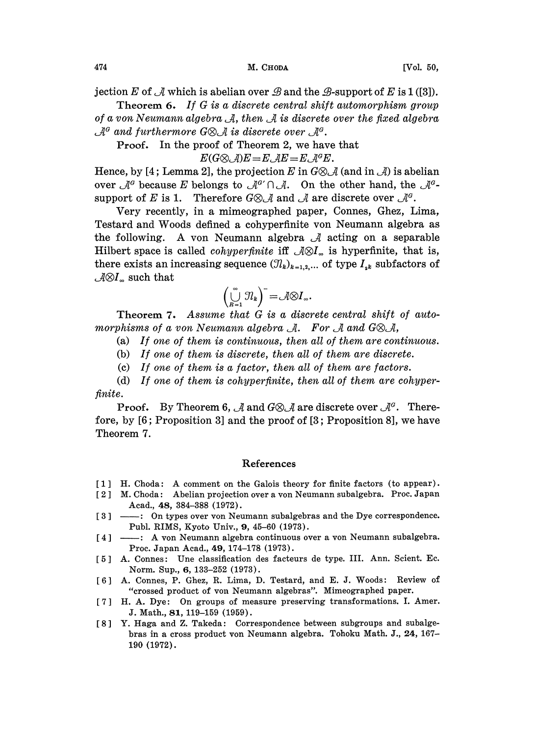jection E of  $\mathcal A$  which is abelian over  $\mathcal B$  and the  $\mathcal B$ -support of E is 1 ([3]).

Theorem 6. If G is <sup>a</sup> discrete central shift automorphism group Theorem 6. If G is a discrete central shift automorphism group<br>of a von Neumann algebra  $\mathcal A$ , then  $\mathcal A$  is discrete over the fixed algebra and furthermore G $\otimes$ A is discrete over rret<br>A<sup>o</sup>.

Proof. In the proof of Theorem 2, we have that

 $E(G \otimes \mathcal{A})E = E \mathcal{A}E = E \mathcal{A}^G E.$ 

Hence, by [4; Lemma 2], the projection E in  $G \otimes \mathcal{A}$  (and in  $\mathcal{A}$ ) is abelian Hence, by [4; Lemma 2], the projection E in  $G \otimes \mathcal{A}$  (and in  $\mathcal{A}$ ) is ab over  $\mathcal{A}^a$  because E belongs to  $\mathcal{A}^{a'} \cap \mathcal{A}$ . On the other hand, the support of E is 1. Therefore  $G \otimes \mathcal{A}$  and  $\mathcal{A}$  are support of E is 1. Therefore  $G \otimes \mathcal{A}$  and  $\mathcal{A}$  are discrete over

Testard and Woods defined a cohyperfinite von Neumann algebra as Very recently, in a mimeographed paper, Connes, Ghez, Lima, ima,<br>a as the following. A von Neumann algebra  $\mathcal A$  acting on a separable Hilbert space is called *cohyperfinite* iff  $\mathcal{A}\otimes I_{\infty}$  is hyperfinite, that is, there exists an increasing sequence  $(\mathcal{I}_k)_{k=1,2,...}$  of type  $I_{ik}$  subfactors of  $\mathcal{A} \otimes I_{\infty}$  such that

$$
\left(\bigcup_{k=1}^{\infty} \mathfrak{N}_k\right)^{-} = \mathcal{A} \otimes I_{\infty}.
$$

Theorem 7. Assume that G is a discrete central shift of automorphisms of a von Neumann algebra  $\mathcal{A}$ . For  $\mathcal{A}$  and  $G \otimes \mathcal{A}$ ,

- (a) If one of them is continuous, then all of them are continuous.
- (b) If one of them is discrete, then all of them are discrete.
- (c) If one of them is a factor, then all of them are factors.

(d) If one of them is cohyperfinite, then all of them are cohyperfinite.

**Proof.** By Theorem 6,  $\mathcal{A}$  and  $G \otimes \mathcal{A}$  are discrete over  $\mathcal{A}^G$ . Therefore, by [6; Proposition 3] and the proof of [3; Proposition 8], we have Theorem 7.

## References

- [1] H. Choda: A comment on the Galois theory for finite factors (to appear).
- [2] [2] M. Choda: Abelian projection over a von Neumann subalgebra. Proc. Japan<br>Acad., 48, 384–388 (1972).<br>[3] — : On types over von Neumann subalgebras and the Dye correspondence.<br> $P_{\text{trib}}$  PIMS Kyste Univ. 0. 45.60 (1972). M. Choda: Abelian projection over a von Neumann subalgebra. Proc. Japan Acad., 48, 384-388 (1972).
- Publ. RIMS, Kyoto Univ., 9, 45-60 (1973).
- [4] : A von Neumann algebra continuous over a von Neumann subalgebra. Proc. Japan Acad., 49, 174-178 (1973).
- [5] A. Connes: Une classification des facteurs de type. III. Ann. Scient. Ec. Norm. Sup., 6, 133-252 (1973).
- [6] A. Connes, P. Ghez, R. Lima, D. Testard, and E. J. Woods: Review of "crossed product of von Neumann algebras". Mimeographed paper.
- [7] H. A. Dye: On groups of measure preserving transformations. I. Amer. J. Math., 81, 119-159 (1959).
- [8] Y. Haga and Z. Takeda: Correspondence between subgroups and subalgebras in a cross product yon Neumann algebra. Tohoku Math. J., 24, 167- 190 (1972).